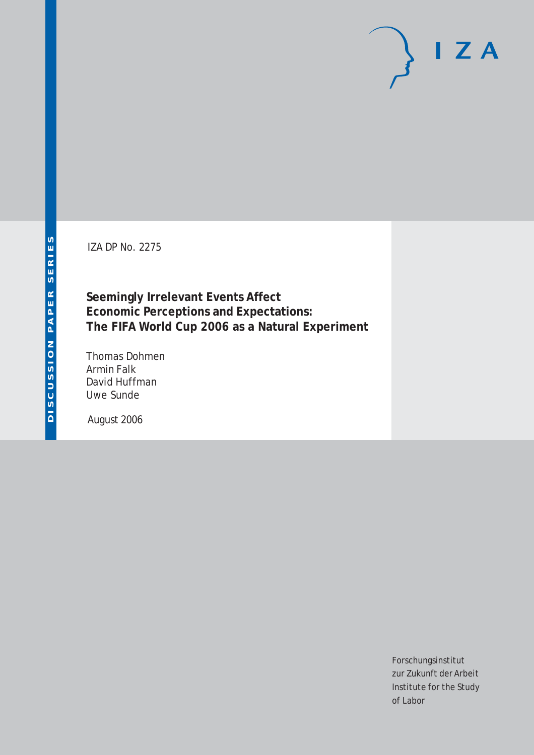IZA DP No. 2275

**Seemingly Irrelevant Events Affect Economic Perceptions and Expectations: The FIFA World Cup 2006 as a Natural Experiment**

Thomas Dohmen Armin Falk David Huffman Uwe Sunde

August 2006

Forschungsinstitut zur Zukunft der Arbeit Institute for the Study of Labor

 $I Z A$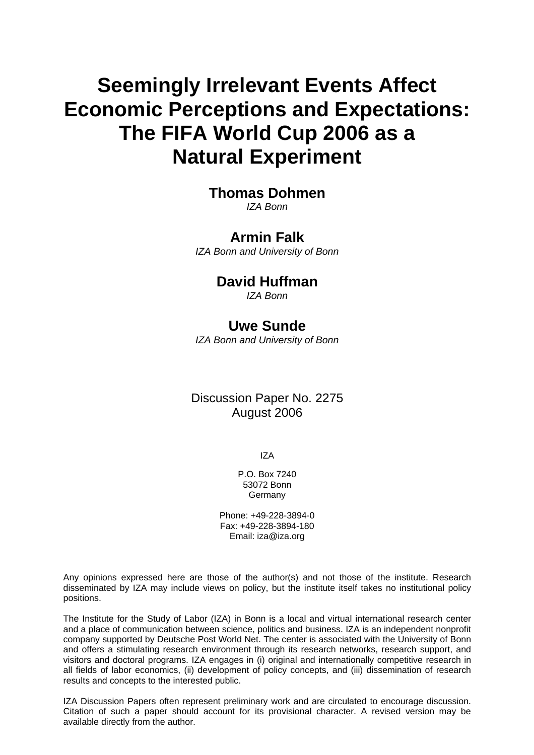# **Seemingly Irrelevant Events Affect Economic Perceptions and Expectations: The FIFA World Cup 2006 as a Natural Experiment**

### **Thomas Dohmen**

*IZA Bonn* 

### **Armin Falk**

*IZA Bonn and University of Bonn* 

### **David Huffman**

*IZA Bonn* 

### **Uwe Sunde**

*IZA Bonn and University of Bonn* 

### Discussion Paper No. 2275 August 2006

IZA

P.O. Box 7240 53072 Bonn Germany

Phone: +49-228-3894-0 Fax: +49-228-3894-180 Email: [iza@iza.org](mailto:iza@iza.org)

Any opinions expressed here are those of the author(s) and not those of the institute. Research disseminated by IZA may include views on policy, but the institute itself takes no institutional policy positions.

The Institute for the Study of Labor (IZA) in Bonn is a local and virtual international research center and a place of communication between science, politics and business. IZA is an independent nonprofit company supported by Deutsche Post World Net. The center is associated with the University of Bonn and offers a stimulating research environment through its research networks, research support, and visitors and doctoral programs. IZA engages in (i) original and internationally competitive research in all fields of labor economics, (ii) development of policy concepts, and (iii) dissemination of research results and concepts to the interested public.

IZA Discussion Papers often represent preliminary work and are circulated to encourage discussion. Citation of such a paper should account for its provisional character. A revised version may be available directly from the author.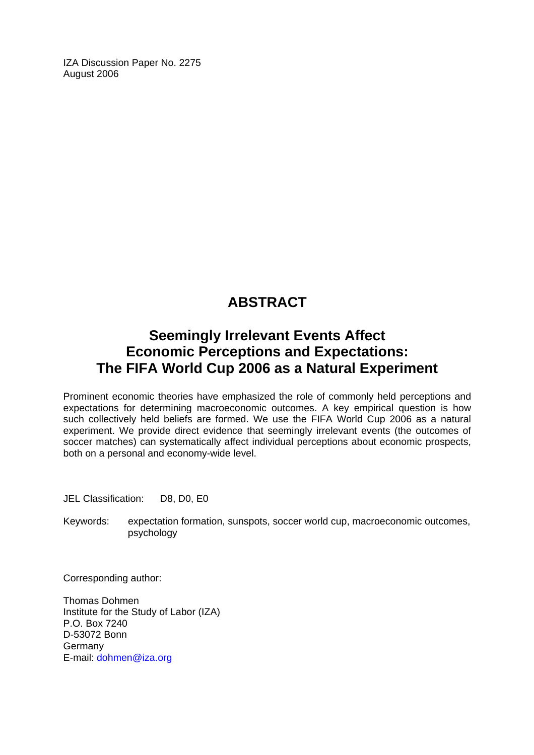IZA Discussion Paper No. 2275 August 2006

## **ABSTRACT**

### **Seemingly Irrelevant Events Affect Economic Perceptions and Expectations: The FIFA World Cup 2006 as a Natural Experiment**

Prominent economic theories have emphasized the role of commonly held perceptions and expectations for determining macroeconomic outcomes. A key empirical question is how such collectively held beliefs are formed. We use the FIFA World Cup 2006 as a natural experiment. We provide direct evidence that seemingly irrelevant events (the outcomes of soccer matches) can systematically affect individual perceptions about economic prospects, both on a personal and economy-wide level.

JEL Classification: D8, D0, E0

Keywords: expectation formation, sunspots, soccer world cup, macroeconomic outcomes, psychology

Corresponding author:

Thomas Dohmen Institute for the Study of Labor (IZA) P.O. Box 7240 D-53072 Bonn Germany E-mail: [dohmen@iza.org](mailto:dohmen@iza.org)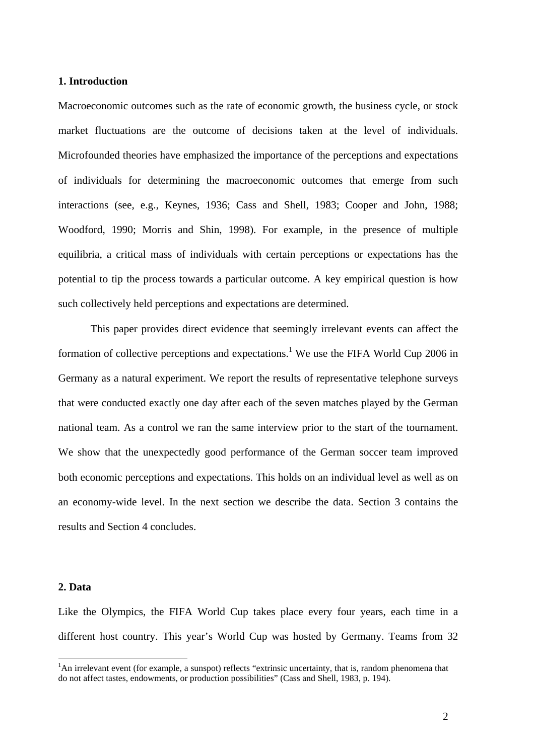#### **1. Introduction**

Macroeconomic outcomes such as the rate of economic growth, the business cycle, or stock market fluctuations are the outcome of decisions taken at the level of individuals. Microfounded theories have emphasized the importance of the perceptions and expectations of individuals for determining the macroeconomic outcomes that emerge from such interactions (see, e.g., Keynes, 1936; Cass and Shell, 1983; Cooper and John, 1988; Woodford, 1990; Morris and Shin, 1998). For example, in the presence of multiple equilibria, a critical mass of individuals with certain perceptions or expectations has the potential to tip the process towards a particular outcome. A key empirical question is how such collectively held perceptions and expectations are determined.

This paper provides direct evidence that seemingly irrelevant events can affect the formation of collective perceptions and expectations.<sup>1</sup> We use the FIFA World Cup 2006 in Germany as a natural experiment. We report the results of representative telephone surveys that were conducted exactly one day after each of the seven matches played by the German national team. As a control we ran the same interview prior to the start of the tournament. We show that the unexpectedly good performance of the German soccer team improved both economic perceptions and expectations. This holds on an individual level as well as on an economy-wide level. In the next section we describe the data. Section 3 contains the results and Section 4 concludes.

#### **2. Data**

 $\overline{a}$ 

Like the Olympics, the FIFA World Cup takes place every four years, each time in a different host country. This year's World Cup was hosted by Germany. Teams from 32

<span id="page-3-0"></span><sup>&</sup>lt;sup>1</sup>An irrelevant event (for example, a sunspot) reflects "extrinsic uncertainty, that is, random phenomena that do not affect tastes, endowments, or production possibilities" (Cass and Shell, 1983, p. 194).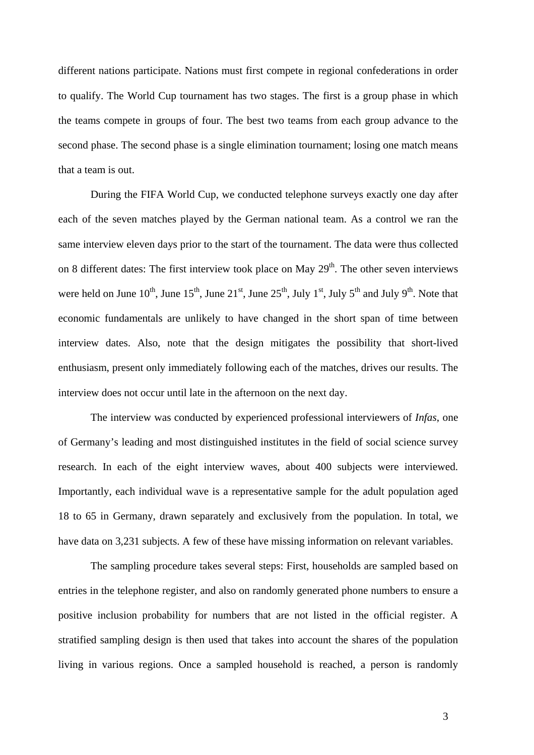different nations participate. Nations must first compete in regional confederations in order to qualify. The World Cup tournament has two stages. The first is a group phase in which the teams compete in groups of four. The best two teams from each group advance to the second phase. The second phase is a single elimination tournament; losing one match means that a team is out.

During the FIFA World Cup, we conducted telephone surveys exactly one day after each of the seven matches played by the German national team. As a control we ran the same interview eleven days prior to the start of the tournament. The data were thus collected on 8 different dates: The first interview took place on May  $29<sup>th</sup>$ . The other seven interviews were held on June  $10^{th}$ , June  $15^{th}$ , June  $21^{st}$ , June  $25^{th}$ , July  $1^{st}$ , July  $5^{th}$  and July  $9^{th}$ . Note that economic fundamentals are unlikely to have changed in the short span of time between interview dates. Also, note that the design mitigates the possibility that short-lived enthusiasm, present only immediately following each of the matches, drives our results. The interview does not occur until late in the afternoon on the next day.

The interview was conducted by experienced professional interviewers of *Infas*, one of Germany's leading and most distinguished institutes in the field of social science survey research. In each of the eight interview waves, about 400 subjects were interviewed. Importantly, each individual wave is a representative sample for the adult population aged 18 to 65 in Germany, drawn separately and exclusively from the population. In total, we have data on 3,231 subjects. A few of these have missing information on relevant variables.

The sampling procedure takes several steps: First, households are sampled based on entries in the telephone register, and also on randomly generated phone numbers to ensure a positive inclusion probability for numbers that are not listed in the official register. A stratified sampling design is then used that takes into account the shares of the population living in various regions. Once a sampled household is reached, a person is randomly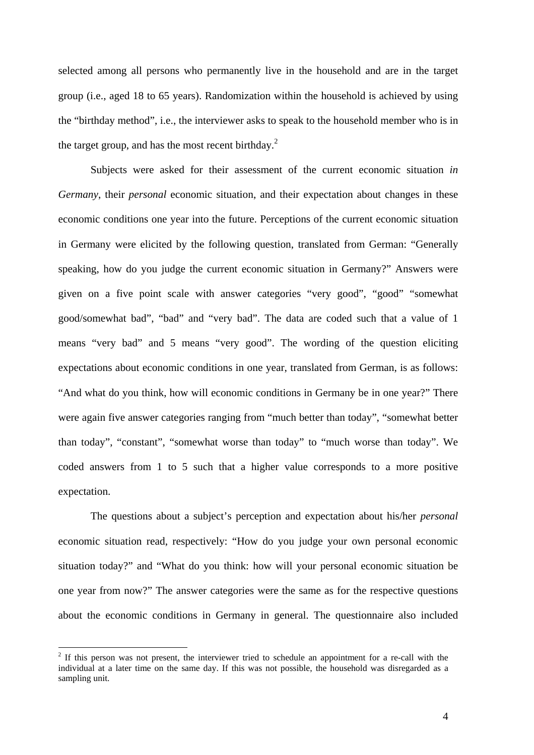selected among all persons who permanently live in the household and are in the target group (i.e., aged 18 to 65 years). Randomization within the household is achieved by using the "birthday method", i.e., the interviewer asks to speak to the household member who is in the target group, and has the most recent birthday.<sup>2</sup>

Subjects were asked for their assessment of the current economic situation *in Germany*, their *personal* economic situation, and their expectation about changes in these economic conditions one year into the future. Perceptions of the current economic situation in Germany were elicited by the following question, translated from German: "Generally speaking, how do you judge the current economic situation in Germany?" Answers were given on a five point scale with answer categories "very good", "good" "somewhat good/somewhat bad", "bad" and "very bad". The data are coded such that a value of 1 means "very bad" and 5 means "very good". The wording of the question eliciting expectations about economic conditions in one year, translated from German, is as follows: "And what do you think, how will economic conditions in Germany be in one year?" There were again five answer categories ranging from "much better than today", "somewhat better than today", "constant", "somewhat worse than today" to "much worse than today". We coded answers from 1 to 5 such that a higher value corresponds to a more positive expectation.

The questions about a subject's perception and expectation about his/her *personal* economic situation read, respectively: "How do you judge your own personal economic situation today?" and "What do you think: how will your personal economic situation be one year from now?" The answer categories were the same as for the respective questions about the economic conditions in Germany in general. The questionnaire also included

 $\overline{a}$ 

<span id="page-5-0"></span> $2$  If this person was not present, the interviewer tried to schedule an appointment for a re-call with the individual at a later time on the same day. If this was not possible, the household was disregarded as a sampling unit.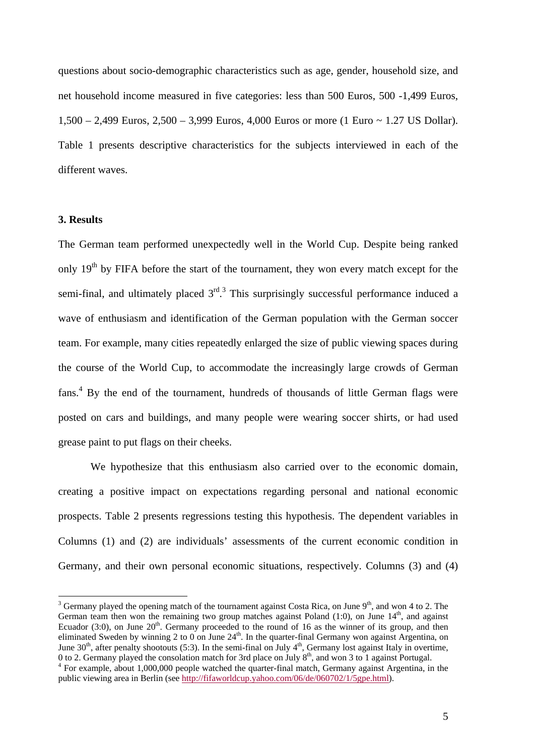questions about socio-demographic characteristics such as age, gender, household size, and net household income measured in five categories: less than 500 Euros, 500 -1,499 Euros, 1,500 – 2,499 Euros, 2,500 – 3,999 Euros, 4,000 Euros or more (1 Euro ~ 1.27 US Dollar). Table 1 presents descriptive characteristics for the subjects interviewed in each of the different waves.

#### **3. Results**

 $\overline{a}$ 

The German team performed unexpectedly well in the World Cup. Despite being ranked only  $19<sup>th</sup>$  by FIFA before the start of the tournament, they won every match except for the semi-final, and ultimately placed  $3<sup>rd</sup>$  $3<sup>rd</sup>$ . This surprisingly successful performance induced a wave of enthusiasm and identification of the German population with the German soccer team. For example, many cities repeatedly enlarged the size of public viewing spaces during the course of the World Cup, to accommodate the increasingly large crowds of German fans.<sup>[4](#page-6-1)</sup> By the end of the tournament, hundreds of thousands of little German flags were posted on cars and buildings, and many people were wearing soccer shirts, or had used grease paint to put flags on their cheeks.

We hypothesize that this enthusiasm also carried over to the economic domain, creating a positive impact on expectations regarding personal and national economic prospects. Table 2 presents regressions testing this hypothesis. The dependent variables in Columns (1) and (2) are individuals' assessments of the current economic condition in Germany, and their own personal economic situations, respectively. Columns (3) and (4)

<span id="page-6-0"></span><sup>&</sup>lt;sup>3</sup> Germany played the opening match of the tournament against Costa Rica, on June  $9<sup>th</sup>$ , and won 4 to 2. The German team then won the remaining two group matches against Poland  $(1:0)$ , on June  $14<sup>th</sup>$ , and against Ecuador (3:0), on June  $20<sup>th</sup>$ . Germany proceeded to the round of 16 as the winner of its group, and then eliminated Sweden by winning 2 to 0 on June  $24<sup>th</sup>$ . In the quarter-final Germany won against Argentina, on June  $30<sup>th</sup>$ , after penalty shootouts (5:3). In the semi-final on July  $4<sup>th</sup>$ , Germany lost against Italy in overtime, 0 to 2. Germany played the consolation match for 3rd place on July  $8<sup>th</sup>$ , and won 3 to 1 against Portugal.

<span id="page-6-1"></span>For example, about 1,000,000 people watched the quarter-final match, Germany against Argentina, in the public viewing area in Berlin (see <http://fifaworldcup.yahoo.com/06/de/060702/1/5gpe.html>).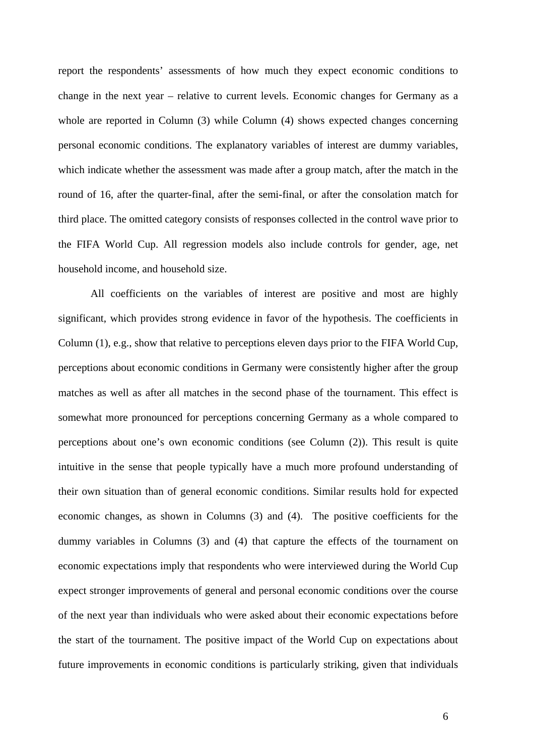report the respondents' assessments of how much they expect economic conditions to change in the next year – relative to current levels. Economic changes for Germany as a whole are reported in Column (3) while Column (4) shows expected changes concerning personal economic conditions. The explanatory variables of interest are dummy variables, which indicate whether the assessment was made after a group match, after the match in the round of 16, after the quarter-final, after the semi-final, or after the consolation match for third place. The omitted category consists of responses collected in the control wave prior to the FIFA World Cup. All regression models also include controls for gender, age, net household income, and household size.

All coefficients on the variables of interest are positive and most are highly significant, which provides strong evidence in favor of the hypothesis. The coefficients in Column (1), e.g., show that relative to perceptions eleven days prior to the FIFA World Cup, perceptions about economic conditions in Germany were consistently higher after the group matches as well as after all matches in the second phase of the tournament. This effect is somewhat more pronounced for perceptions concerning Germany as a whole compared to perceptions about one's own economic conditions (see Column (2)). This result is quite intuitive in the sense that people typically have a much more profound understanding of their own situation than of general economic conditions. Similar results hold for expected economic changes, as shown in Columns (3) and (4). The positive coefficients for the dummy variables in Columns (3) and (4) that capture the effects of the tournament on economic expectations imply that respondents who were interviewed during the World Cup expect stronger improvements of general and personal economic conditions over the course of the next year than individuals who were asked about their economic expectations before the start of the tournament. The positive impact of the World Cup on expectations about future improvements in economic conditions is particularly striking, given that individuals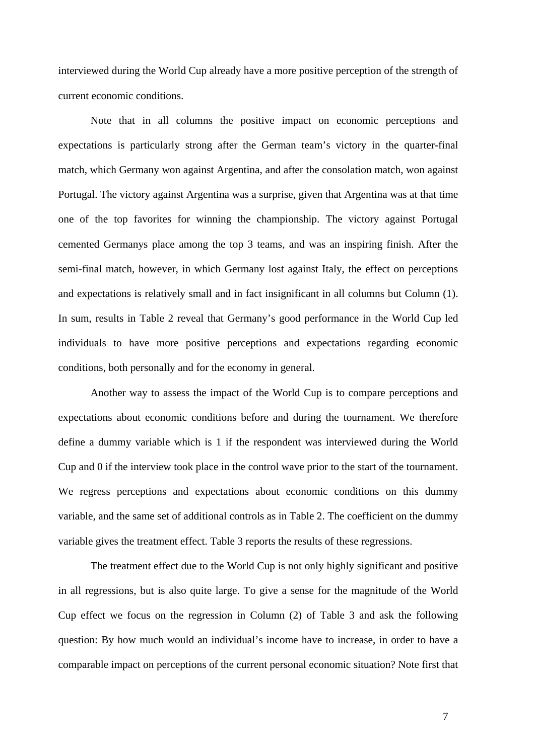interviewed during the World Cup already have a more positive perception of the strength of current economic conditions.

Note that in all columns the positive impact on economic perceptions and expectations is particularly strong after the German team's victory in the quarter-final match, which Germany won against Argentina, and after the consolation match, won against Portugal. The victory against Argentina was a surprise, given that Argentina was at that time one of the top favorites for winning the championship. The victory against Portugal cemented Germanys place among the top 3 teams, and was an inspiring finish. After the semi-final match, however, in which Germany lost against Italy, the effect on perceptions and expectations is relatively small and in fact insignificant in all columns but Column (1). In sum, results in Table 2 reveal that Germany's good performance in the World Cup led individuals to have more positive perceptions and expectations regarding economic conditions, both personally and for the economy in general.

Another way to assess the impact of the World Cup is to compare perceptions and expectations about economic conditions before and during the tournament. We therefore define a dummy variable which is 1 if the respondent was interviewed during the World Cup and 0 if the interview took place in the control wave prior to the start of the tournament. We regress perceptions and expectations about economic conditions on this dummy variable, and the same set of additional controls as in Table 2. The coefficient on the dummy variable gives the treatment effect. Table 3 reports the results of these regressions.

The treatment effect due to the World Cup is not only highly significant and positive in all regressions, but is also quite large. To give a sense for the magnitude of the World Cup effect we focus on the regression in Column (2) of Table 3 and ask the following question: By how much would an individual's income have to increase, in order to have a comparable impact on perceptions of the current personal economic situation? Note first that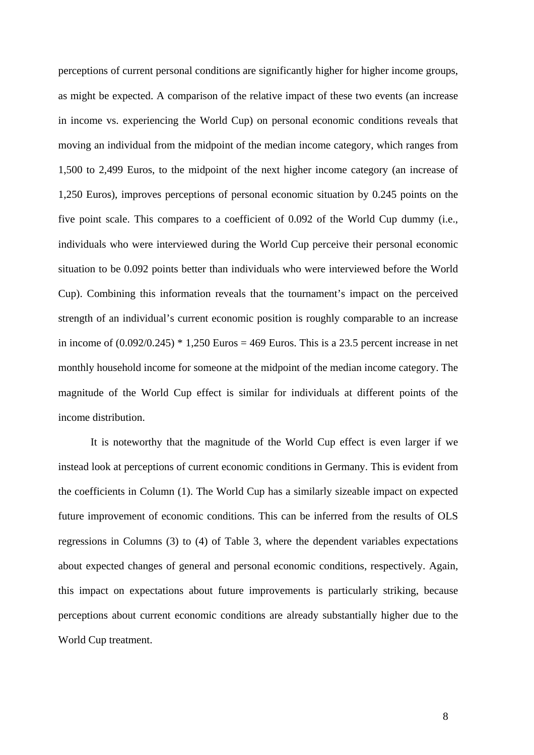perceptions of current personal conditions are significantly higher for higher income groups, as might be expected. A comparison of the relative impact of these two events (an increase in income vs. experiencing the World Cup) on personal economic conditions reveals that moving an individual from the midpoint of the median income category, which ranges from 1,500 to 2,499 Euros, to the midpoint of the next higher income category (an increase of 1,250 Euros), improves perceptions of personal economic situation by 0.245 points on the five point scale. This compares to a coefficient of 0.092 of the World Cup dummy (i.e., individuals who were interviewed during the World Cup perceive their personal economic situation to be 0.092 points better than individuals who were interviewed before the World Cup). Combining this information reveals that the tournament's impact on the perceived strength of an individual's current economic position is roughly comparable to an increase in income of  $(0.092/0.245) * 1,250$  Euros = 469 Euros. This is a 23.5 percent increase in net monthly household income for someone at the midpoint of the median income category. The magnitude of the World Cup effect is similar for individuals at different points of the income distribution.

It is noteworthy that the magnitude of the World Cup effect is even larger if we instead look at perceptions of current economic conditions in Germany. This is evident from the coefficients in Column (1). The World Cup has a similarly sizeable impact on expected future improvement of economic conditions. This can be inferred from the results of OLS regressions in Columns (3) to (4) of Table 3, where the dependent variables expectations about expected changes of general and personal economic conditions, respectively. Again, this impact on expectations about future improvements is particularly striking, because perceptions about current economic conditions are already substantially higher due to the World Cup treatment.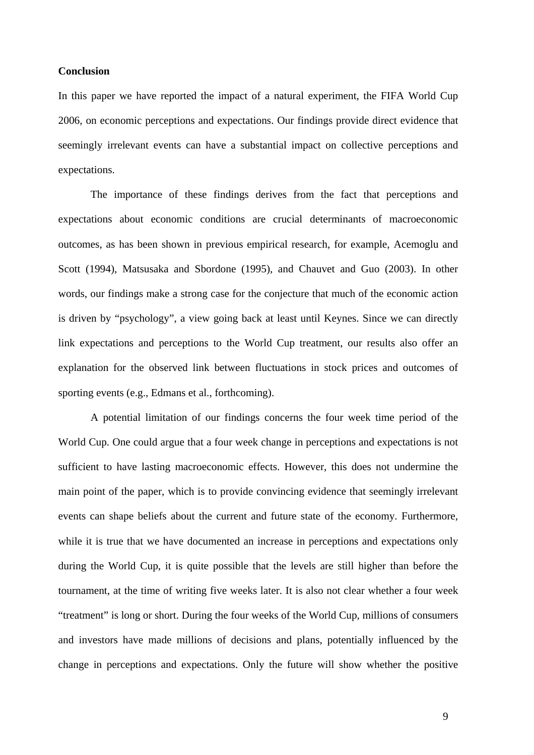#### **Conclusion**

In this paper we have reported the impact of a natural experiment, the FIFA World Cup 2006, on economic perceptions and expectations. Our findings provide direct evidence that seemingly irrelevant events can have a substantial impact on collective perceptions and expectations.

The importance of these findings derives from the fact that perceptions and expectations about economic conditions are crucial determinants of macroeconomic outcomes, as has been shown in previous empirical research, for example, Acemoglu and Scott (1994), Matsusaka and Sbordone (1995), and Chauvet and Guo (2003). In other words, our findings make a strong case for the conjecture that much of the economic action is driven by "psychology", a view going back at least until Keynes. Since we can directly link expectations and perceptions to the World Cup treatment, our results also offer an explanation for the observed link between fluctuations in stock prices and outcomes of sporting events (e.g., Edmans et al., forthcoming).

A potential limitation of our findings concerns the four week time period of the World Cup. One could argue that a four week change in perceptions and expectations is not sufficient to have lasting macroeconomic effects. However, this does not undermine the main point of the paper, which is to provide convincing evidence that seemingly irrelevant events can shape beliefs about the current and future state of the economy. Furthermore, while it is true that we have documented an increase in perceptions and expectations only during the World Cup, it is quite possible that the levels are still higher than before the tournament, at the time of writing five weeks later. It is also not clear whether a four week "treatment" is long or short. During the four weeks of the World Cup, millions of consumers and investors have made millions of decisions and plans, potentially influenced by the change in perceptions and expectations. Only the future will show whether the positive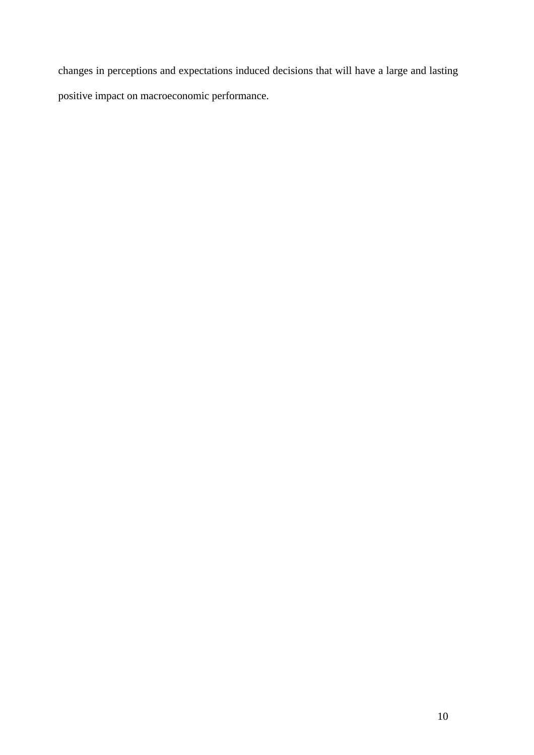changes in perceptions and expectations induced decisions that will have a large and lasting positive impact on macroeconomic performance.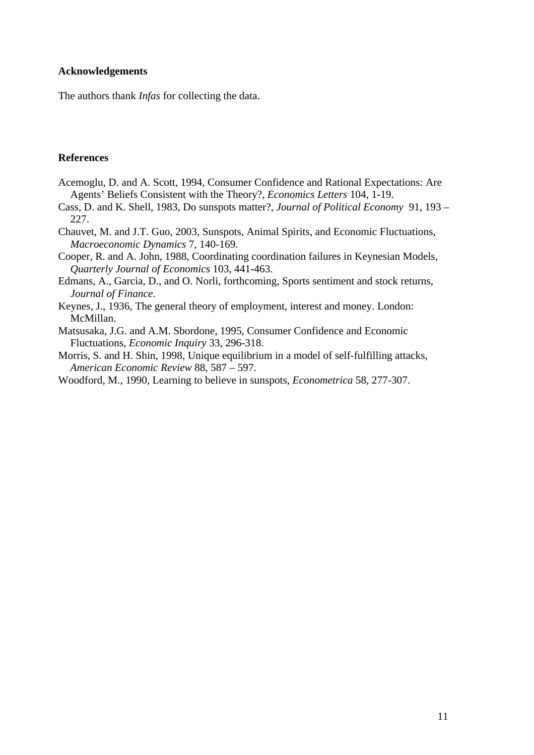#### **Acknowledgements**

The authors thank *Infas* for collecting the data.

#### **References**

- Acemoglu, D. and A. Scott, 1994, Consumer Confidence and Rational Expectations: Are Agents' Beliefs Consistent with the Theory?, *Economics Letters* 104, 1-19.
- Cass, D. and K. Shell, 1983, Do sunspots matter?, *Journal of Political Economy* 91, 193 227.
- Chauvet, M. and J.T. Guo, 2003, Sunspots, Animal Spirits, and Economic Fluctuations, *Macroeconomic Dynamics* 7, 140-169.
- Cooper, R. and A. John, 1988, Coordinating coordination failures in Keynesian Models, *Quarterly Journal of Economics* 103, 441-463.
- Edmans, A., Garcia, D., and O. Norli, forthcoming, Sports sentiment and stock returns, *Journal of Finance*.
- Keynes, J., 1936, The general theory of employment, interest and money. London: McMillan.
- Matsusaka, J.G. and A.M. Sbordone, 1995, Consumer Confidence and Economic Fluctuations, *Economic Inquiry* 33, 296-318.
- Morris, S. and H. Shin, 1998, Unique equilibrium in a model of self-fulfilling attacks, *American Economic Review* 88, 587 – 597.
- Woodford, M., 1990, Learning to believe in sunspots, *Econometrica* 58, 277-307.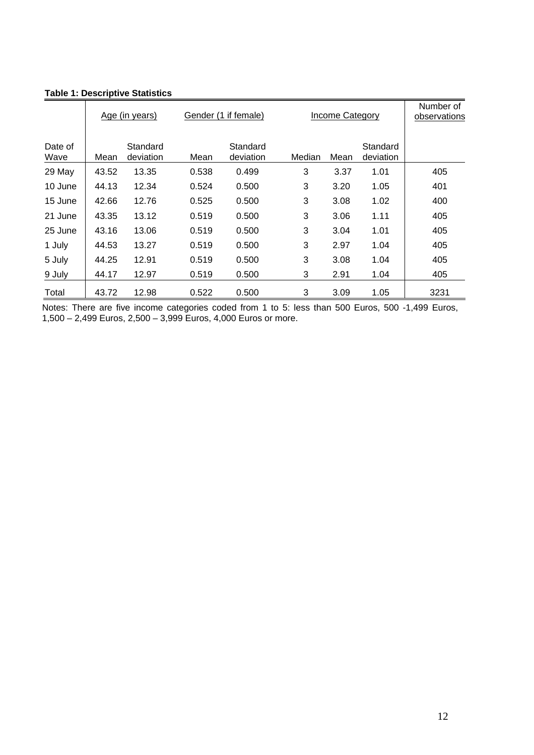|                 |       | Gender (1 if female)<br>Income Category<br>Age (in years) |       |                       | Number of<br>observations |      |                       |      |
|-----------------|-------|-----------------------------------------------------------|-------|-----------------------|---------------------------|------|-----------------------|------|
| Date of<br>Wave | Mean  | Standard<br>deviation                                     | Mean  | Standard<br>deviation | Median                    | Mean | Standard<br>deviation |      |
| 29 May          | 43.52 | 13.35                                                     | 0.538 | 0.499                 | 3                         | 3.37 | 1.01                  | 405  |
| 10 June         | 44.13 | 12.34                                                     | 0.524 | 0.500                 | 3                         | 3.20 | 1.05                  | 401  |
| 15 June         | 42.66 | 12.76                                                     | 0.525 | 0.500                 | 3                         | 3.08 | 1.02                  | 400  |
| 21 June         | 43.35 | 13.12                                                     | 0.519 | 0.500                 | 3                         | 3.06 | 1.11                  | 405  |
| 25 June         | 43.16 | 13.06                                                     | 0.519 | 0.500                 | 3                         | 3.04 | 1.01                  | 405  |
| 1 July          | 44.53 | 13.27                                                     | 0.519 | 0.500                 | 3                         | 2.97 | 1.04                  | 405  |
| 5 July          | 44.25 | 12.91                                                     | 0.519 | 0.500                 | 3                         | 3.08 | 1.04                  | 405  |
| 9 July          | 44.17 | 12.97                                                     | 0.519 | 0.500                 | 3                         | 2.91 | 1.04                  | 405  |
| Total           | 43.72 | 12.98                                                     | 0.522 | 0.500                 | 3                         | 3.09 | 1.05                  | 3231 |

#### **Table 1: Descriptive Statistics**

Notes: There are five income categories coded from 1 to 5: less than 500 Euros, 500 -1,499 Euros, 1,500 – 2,499 Euros, 2,500 – 3,999 Euros, 4,000 Euros or more.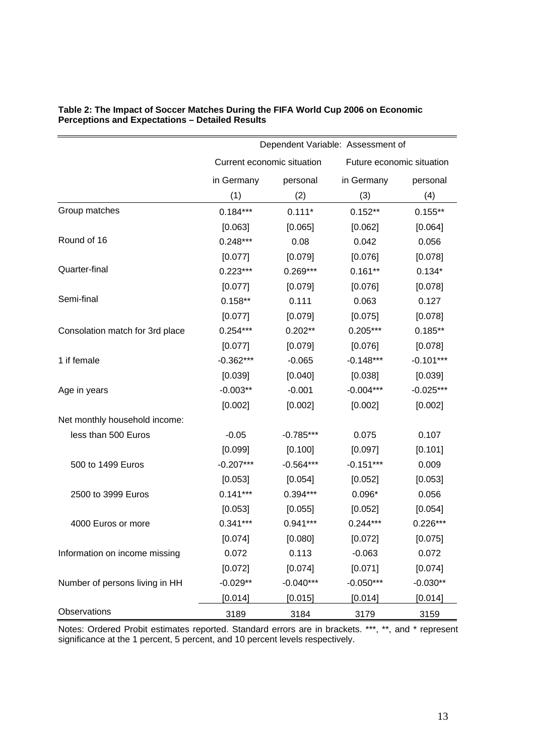|                                 | Dependent Variable: Assessment of                       |             |             |             |
|---------------------------------|---------------------------------------------------------|-------------|-------------|-------------|
|                                 | Current economic situation<br>Future economic situation |             |             |             |
|                                 | in Germany                                              | personal    | in Germany  | personal    |
|                                 | (1)                                                     | (2)         | (3)         | (4)         |
| Group matches                   | $0.184***$                                              | $0.111*$    | $0.152**$   | $0.155**$   |
|                                 | [0.063]                                                 | [0.065]     | [0.062]     | [0.064]     |
| Round of 16                     | $0.248***$                                              | 0.08        | 0.042       | 0.056       |
|                                 | [0.077]                                                 | [0.079]     | [0.076]     | [0.078]     |
| Quarter-final                   | $0.223***$                                              | $0.269***$  | $0.161**$   | $0.134*$    |
|                                 | [0.077]                                                 | [0.079]     | [0.076]     | [0.078]     |
| Semi-final                      | $0.158**$                                               | 0.111       | 0.063       | 0.127       |
|                                 | [0.077]                                                 | [0.079]     | [0.075]     | [0.078]     |
| Consolation match for 3rd place | $0.254***$                                              | $0.202**$   | $0.205***$  | $0.185**$   |
|                                 | [0.077]                                                 | [0.079]     | [0.076]     | [0.078]     |
| 1 if female                     | $-0.362***$                                             | $-0.065$    | $-0.148***$ | $-0.101***$ |
|                                 | [0.039]                                                 | [0.040]     | [0.038]     | [0.039]     |
| Age in years                    | $-0.003**$                                              | $-0.001$    | $-0.004***$ | $-0.025***$ |
|                                 | [0.002]                                                 | [0.002]     | [0.002]     | [0.002]     |
| Net monthly household income:   |                                                         |             |             |             |
| less than 500 Euros             | $-0.05$                                                 | $-0.785***$ | 0.075       | 0.107       |
|                                 | [0.099]                                                 | [0.100]     | [0.097]     | [0.101]     |
| 500 to 1499 Euros               | $-0.207***$                                             | $-0.564***$ | $-0.151***$ | 0.009       |
|                                 | [0.053]                                                 | [0.054]     | [0.052]     | [0.053]     |
| 2500 to 3999 Euros              | $0.141***$                                              | $0.394***$  | $0.096*$    | 0.056       |
|                                 | [0.053]                                                 | [0.055]     | [0.052]     | [0.054]     |
| 4000 Euros or more              | $0.341***$                                              | $0.941***$  | $0.244***$  | $0.226***$  |
|                                 | [0.074]                                                 | [0.080]     | [0.072]     | [0.075]     |
| Information on income missing   | 0.072                                                   | 0.113       | $-0.063$    | 0.072       |
|                                 | [0.072]                                                 | [0.074]     | [0.071]     | [0.074]     |
| Number of persons living in HH  | $-0.029**$                                              | $-0.040***$ | $-0.050***$ | $-0.030**$  |
|                                 | [0.014]                                                 | [0.015]     | [0.014]     | [0.014]     |
| Observations                    | 3189                                                    | 3184        | 3179        | 3159        |

#### **Table 2: The Impact of Soccer Matches During the FIFA World Cup 2006 on Economic Perceptions and Expectations – Detailed Results**

Notes: Ordered Probit estimates reported. Standard errors are in brackets. \*\*\*, \*\*, and \* represent significance at the 1 percent, 5 percent, and 10 percent levels respectively.